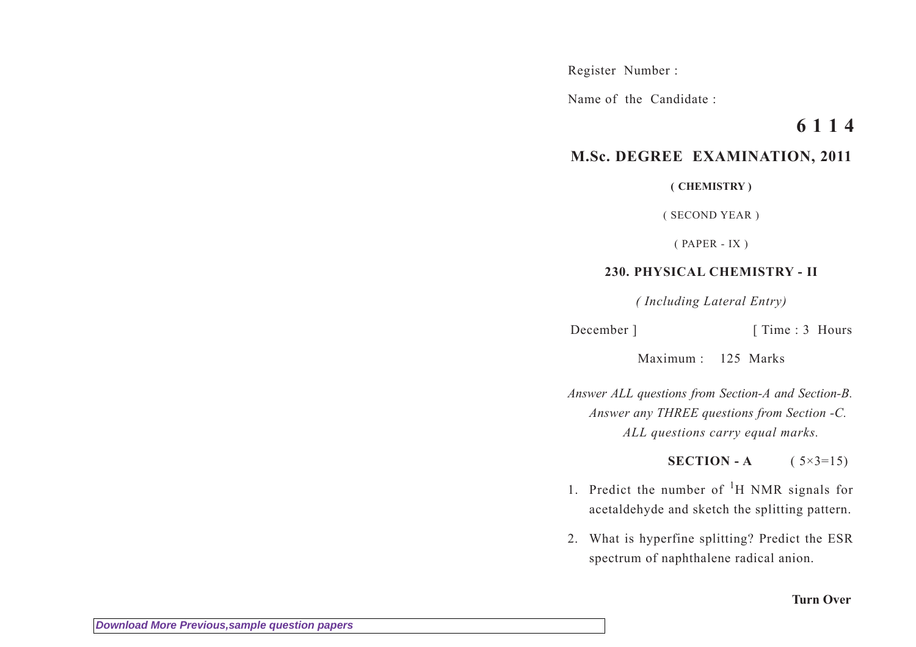Register Number :

Name of the Candidate :

# **6 1 1 4**

# **M.Sc. DEGREE EXAMINATION, 2011**

**( CHEMISTRY )**

( SECOND YEAR )

( PAPER - IX )

# **230. PHYSICAL CHEMISTRY - II**

*( Including Lateral Entry)*

December ] [ Time : 3 Hours

Maximum : 125 Marks

*Answer ALL questions from Section-A and Section-B. Answer any THREE questions from Section -C. ALL questions carry equal marks.*

**SECTION - A**  $(5 \times 3 = 15)$ 

- 1. Predict the number of  ${}^{1}H$  NMR signals for acetaldehyde and sketch the splitting pattern.
- 2. What is hyperfine splitting? Predict the ESR spectrum of naphthalene radical anion.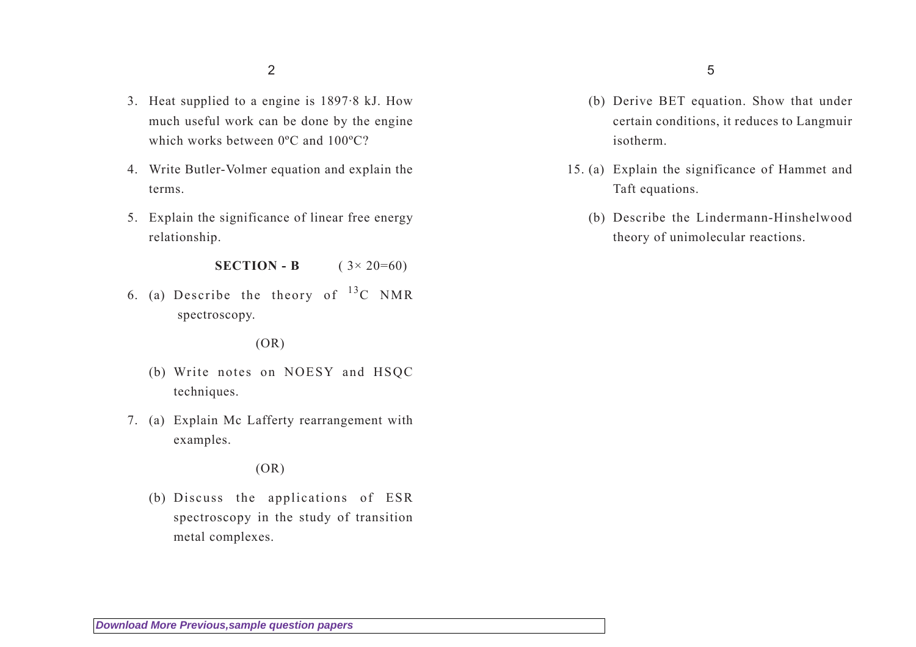- 3. Heat supplied to a engine is 1897·8 kJ. How much useful work can be done by the engine which works between 0ºC and 100ºC?
- 4. Write Butler-Volmer equation and explain the terms.
- 5. Explain the significance of linear free energy relationship.

**SECTION - B**  $(3 \times 20=60)$ 

6. (a) Describe the theory of  $^{13}C$  NMR spectroscopy.

 $(OR)$ 

- (b) Write notes on NOESY and HSQC techniques.
- 7. (a) Explain Mc Lafferty rearrangement with examples.

(OR)

(b) Discuss the applications of ESR spectroscopy in the study of transition metal complexes.

- (b) Derive BET equation. Show that under certain conditions, it reduces to Langmuir isotherm.
- 15. (a) Explain the significance of Hammet and Taft equations.
	- (b) Describe the Lindermann-Hinshelwood theory of unimolecular reactions.

**[Download More Previous,sample question papers](http://downloadmela.com/pages/previouspapers/previouspapers.html)**